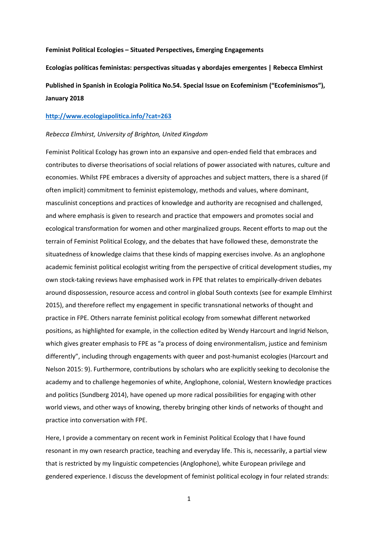### **Feminist Political Ecologies – Situated Perspectives, Emerging Engagements**

**Ecologías políticas feministas: perspectivas situadas y abordajes emergentes | Rebecca Elmhirst Published in Spanish in Ecologia Politica No.54. Special Issue on Ecofeminism ("Ecofeminismos"), January 2018**

## **<http://www.ecologiapolitica.info/?cat=263>**

### *Rebecca Elmhirst, University of Brighton, United Kingdom*

Feminist Political Ecology has grown into an expansive and open-ended field that embraces and contributes to diverse theorisations of social relations of power associated with natures, culture and economies. Whilst FPE embraces a diversity of approaches and subject matters, there is a shared (if often implicit) commitment to feminist epistemology, methods and values, where dominant, masculinist conceptions and practices of knowledge and authority are recognised and challenged, and where emphasis is given to research and practice that empowers and promotes social and ecological transformation for women and other marginalized groups. Recent efforts to map out the terrain of Feminist Political Ecology, and the debates that have followed these, demonstrate the situatedness of knowledge claims that these kinds of mapping exercises involve. As an anglophone academic feminist political ecologist writing from the perspective of critical development studies, my own stock-taking reviews have emphasised work in FPE that relates to empirically-driven debates around dispossession, resource access and control in global South contexts (see for example Elmhirst 2015), and therefore reflect my engagement in specific transnational networks of thought and practice in FPE. Others narrate feminist political ecology from somewhat different networked positions, as highlighted for example, in the collection edited by Wendy Harcourt and Ingrid Nelson, which gives greater emphasis to FPE as "a process of doing environmentalism, justice and feminism differently", including through engagements with queer and post-humanist ecologies (Harcourt and Nelson 2015: 9). Furthermore, contributions by scholars who are explicitly seeking to decolonise the academy and to challenge hegemonies of white, Anglophone, colonial, Western knowledge practices and politics (Sundberg 2014), have opened up more radical possibilities for engaging with other world views, and other ways of knowing, thereby bringing other kinds of networks of thought and practice into conversation with FPE.

Here, I provide a commentary on recent work in Feminist Political Ecology that I have found resonant in my own research practice, teaching and everyday life. This is, necessarily, a partial view that is restricted by my linguistic competencies (Anglophone), white European privilege and gendered experience. I discuss the development of feminist political ecology in four related strands: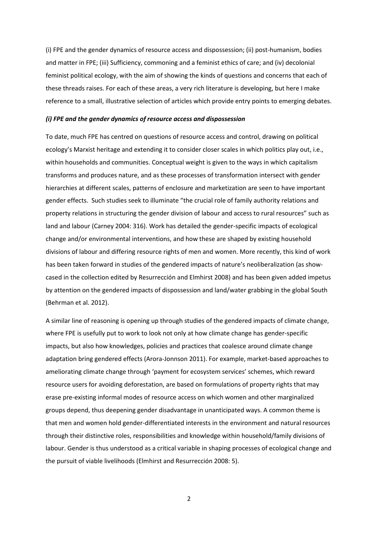(i) FPE and the gender dynamics of resource access and dispossession; (ii) post-humanism, bodies and matter in FPE; (iii) Sufficiency, commoning and a feminist ethics of care; and (iv) decolonial feminist political ecology, with the aim of showing the kinds of questions and concerns that each of these threads raises. For each of these areas, a very rich literature is developing, but here I make reference to a small, illustrative selection of articles which provide entry points to emerging debates.

#### *(i) FPE and the gender dynamics of resource access and dispossession*

To date, much FPE has centred on questions of resource access and control, drawing on political ecology's Marxist heritage and extending it to consider closer scales in which politics play out, i.e., within households and communities. Conceptual weight is given to the ways in which capitalism transforms and produces nature, and as these processes of transformation intersect with gender hierarchies at different scales, patterns of enclosure and marketization are seen to have important gender effects. Such studies seek to illuminate "the crucial role of family authority relations and property relations in structuring the gender division of labour and access to rural resources" such as land and labour (Carney 2004: 316). Work has detailed the gender-specific impacts of ecological change and/or environmental interventions, and how these are shaped by existing household divisions of labour and differing resource rights of men and women. More recently, this kind of work has been taken forward in studies of the gendered impacts of nature's neoliberalization (as showcased in the collection edited by Resurrección and Elmhirst 2008) and has been given added impetus by attention on the gendered impacts of dispossession and land/water grabbing in the global South (Behrman et al. 2012).

A similar line of reasoning is opening up through studies of the gendered impacts of climate change, where FPE is usefully put to work to look not only at how climate change has gender-specific impacts, but also how knowledges, policies and practices that coalesce around climate change adaptation bring gendered effects (Arora-Jonnson 2011). For example, market-based approaches to ameliorating climate change through 'payment for ecosystem services' schemes, which reward resource users for avoiding deforestation, are based on formulations of property rights that may erase pre-existing informal modes of resource access on which women and other marginalized groups depend, thus deepening gender disadvantage in unanticipated ways. A common theme is that men and women hold gender-differentiated interests in the environment and natural resources through their distinctive roles, responsibilities and knowledge within household/family divisions of labour. Gender is thus understood as a critical variable in shaping processes of ecological change and the pursuit of viable livelihoods (Elmhirst and Resurrección 2008: 5).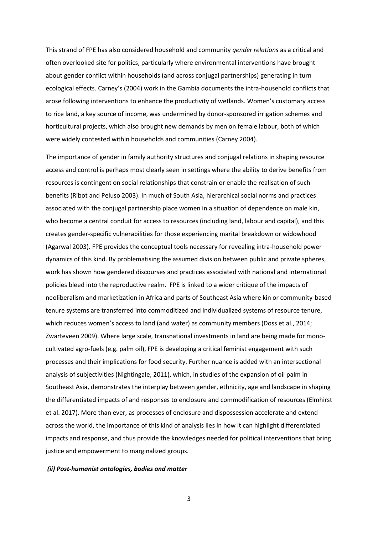This strand of FPE has also considered household and community *gender relations* as a critical and often overlooked site for politics, particularly where environmental interventions have brought about gender conflict within households (and across conjugal partnerships) generating in turn ecological effects. Carney's (2004) work in the Gambia documents the intra-household conflicts that arose following interventions to enhance the productivity of wetlands. Women's customary access to rice land, a key source of income, was undermined by donor-sponsored irrigation schemes and horticultural projects, which also brought new demands by men on female labour, both of which were widely contested within households and communities (Carney 2004).

The importance of gender in family authority structures and conjugal relations in shaping resource access and control is perhaps most clearly seen in settings where the ability to derive benefits from resources is contingent on social relationships that constrain or enable the realisation of such benefits (Ribot and Peluso 2003). In much of South Asia, hierarchical social norms and practices associated with the conjugal partnership place women in a situation of dependence on male kin, who become a central conduit for access to resources (including land, labour and capital), and this creates gender-specific vulnerabilities for those experiencing marital breakdown or widowhood (Agarwal 2003). FPE provides the conceptual tools necessary for revealing intra-household power dynamics of this kind. By problematising the assumed division between public and private spheres, work has shown how gendered discourses and practices associated with national and international policies bleed into the reproductive realm. FPE is linked to a wider critique of the impacts of neoliberalism and marketization in Africa and parts of Southeast Asia where kin or community-based tenure systems are transferred into commoditized and individualized systems of resource tenure, which reduces women's access to land (and water) as community members (Doss et al., 2014; Zwarteveen 2009). Where large scale, transnational investments in land are being made for monocultivated agro-fuels (e.g. palm oil), FPE is developing a critical feminist engagement with such processes and their implications for food security. Further nuance is added with an intersectional analysis of subjectivities (Nightingale, 2011), which, in studies of the expansion of oil palm in Southeast Asia, demonstrates the interplay between gender, ethnicity, age and landscape in shaping the differentiated impacts of and responses to enclosure and commodification of resources (Elmhirst et al. 2017). More than ever, as processes of enclosure and dispossession accelerate and extend across the world, the importance of this kind of analysis lies in how it can highlight differentiated impacts and response, and thus provide the knowledges needed for political interventions that bring justice and empowerment to marginalized groups.

# *(ii) Post-humanist ontologies, bodies and matter*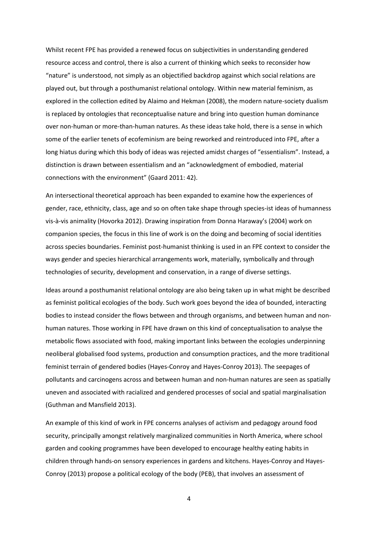Whilst recent FPE has provided a renewed focus on subjectivities in understanding gendered resource access and control, there is also a current of thinking which seeks to reconsider how "nature" is understood, not simply as an objectified backdrop against which social relations are played out, but through a posthumanist relational ontology. Within new material feminism, as explored in the collection edited by Alaimo and Hekman (2008), the modern nature-society dualism is replaced by ontologies that reconceptualise nature and bring into question human dominance over non-human or more-than-human natures. As these ideas take hold, there is a sense in which some of the earlier tenets of ecofeminism are being reworked and reintroduced into FPE, after a long hiatus during which this body of ideas was rejected amidst charges of "essentialism". Instead, a distinction is drawn between essentialism and an "acknowledgment of embodied, material connections with the environment" (Gaard 2011: 42).

An intersectional theoretical approach has been expanded to examine how the experiences of gender, race, ethnicity, class, age and so on often take shape through species-ist ideas of humanness vis-à-vis animality (Hovorka 2012). Drawing inspiration from Donna Haraway's (2004) work on companion species, the focus in this line of work is on the doing and becoming of social identities across species boundaries. Feminist post-humanist thinking is used in an FPE context to consider the ways gender and species hierarchical arrangements work, materially, symbolically and through technologies of security, development and conservation, in a range of diverse settings.

Ideas around a posthumanist relational ontology are also being taken up in what might be described as feminist political ecologies of the body. Such work goes beyond the idea of bounded, interacting bodies to instead consider the flows between and through organisms, and between human and nonhuman natures. Those working in FPE have drawn on this kind of conceptualisation to analyse the metabolic flows associated with food, making important links between the ecologies underpinning neoliberal globalised food systems, production and consumption practices, and the more traditional feminist terrain of gendered bodies (Hayes-Conroy and Hayes-Conroy 2013). The seepages of pollutants and carcinogens across and between human and non-human natures are seen as spatially uneven and associated with racialized and gendered processes of social and spatial marginalisation (Guthman and Mansfield 2013).

An example of this kind of work in FPE concerns analyses of activism and pedagogy around food security, principally amongst relatively marginalized communities in North America, where school garden and cooking programmes have been developed to encourage healthy eating habits in children through hands-on sensory experiences in gardens and kitchens. Hayes-Conroy and Hayes-Conroy (2013) propose a political ecology of the body (PEB), that involves an assessment of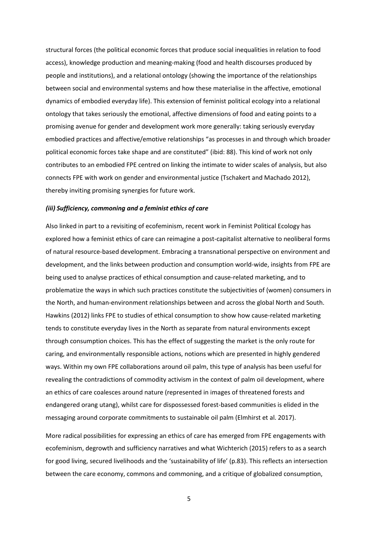structural forces (the political economic forces that produce social inequalities in relation to food access), knowledge production and meaning-making (food and health discourses produced by people and institutions), and a relational ontology (showing the importance of the relationships between social and environmental systems and how these materialise in the affective, emotional dynamics of embodied everyday life). This extension of feminist political ecology into a relational ontology that takes seriously the emotional, affective dimensions of food and eating points to a promising avenue for gender and development work more generally: taking seriously everyday embodied practices and affective/emotive relationships "as processes in and through which broader political economic forces take shape and are constituted" (ibid: 88). This kind of work not only contributes to an embodied FPE centred on linking the intimate to wider scales of analysis, but also connects FPE with work on gender and environmental justice (Tschakert and Machado 2012), thereby inviting promising synergies for future work.

## *(iii) Sufficiency, commoning and a feminist ethics of care*

Also linked in part to a revisiting of ecofeminism, recent work in Feminist Political Ecology has explored how a feminist ethics of care can reimagine a post-capitalist alternative to neoliberal forms of natural resource-based development. Embracing a transnational perspective on environment and development, and the links between production and consumption world-wide, insights from FPE are being used to analyse practices of ethical consumption and cause-related marketing, and to problematize the ways in which such practices constitute the subjectivities of (women) consumers in the North, and human-environment relationships between and across the global North and South. Hawkins (2012) links FPE to studies of ethical consumption to show how cause-related marketing tends to constitute everyday lives in the North as separate from natural environments except through consumption choices. This has the effect of suggesting the market is the only route for caring, and environmentally responsible actions, notions which are presented in highly gendered ways. Within my own FPE collaborations around oil palm, this type of analysis has been useful for revealing the contradictions of commodity activism in the context of palm oil development, where an ethics of care coalesces around nature (represented in images of threatened forests and endangered orang utang), whilst care for dispossessed forest-based communities is elided in the messaging around corporate commitments to sustainable oil palm (Elmhirst et al. 2017).

More radical possibilities for expressing an ethics of care has emerged from FPE engagements with ecofeminism, degrowth and sufficiency narratives and what Wichterich (2015) refers to as a search for good living, secured livelihoods and the 'sustainability of life' (p.83). This reflects an intersection between the care economy, commons and commoning, and a critique of globalized consumption,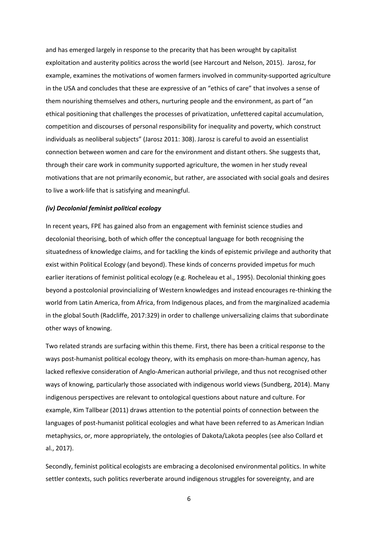and has emerged largely in response to the precarity that has been wrought by capitalist exploitation and austerity politics across the world (see Harcourt and Nelson, 2015). Jarosz, for example, examines the motivations of women farmers involved in community-supported agriculture in the USA and concludes that these are expressive of an "ethics of care" that involves a sense of them nourishing themselves and others, nurturing people and the environment, as part of "an ethical positioning that challenges the processes of privatization, unfettered capital accumulation, competition and discourses of personal responsibility for inequality and poverty, which construct individuals as neoliberal subjects" (Jarosz 2011: 308). Jarosz is careful to avoid an essentialist connection between women and care for the environment and distant others. She suggests that, through their care work in community supported agriculture, the women in her study reveal motivations that are not primarily economic, but rather, are associated with social goals and desires to live a work-life that is satisfying and meaningful.

## *(iv) Decolonial feminist political ecology*

In recent years, FPE has gained also from an engagement with feminist science studies and decolonial theorising, both of which offer the conceptual language for both recognising the situatedness of knowledge claims, and for tackling the kinds of epistemic privilege and authority that exist within Political Ecology (and beyond). These kinds of concerns provided impetus for much earlier iterations of feminist political ecology (e.g. Rocheleau et al., 1995). Decolonial thinking goes beyond a postcolonial provincializing of Western knowledges and instead encourages re-thinking the world from Latin America, from Africa, from Indigenous places, and from the marginalized academia in the global South (Radcliffe, 2017:329) in order to challenge universalizing claims that subordinate other ways of knowing.

Two related strands are surfacing within this theme. First, there has been a critical response to the ways post-humanist political ecology theory, with its emphasis on more-than-human agency, has lacked reflexive consideration of Anglo-American authorial privilege, and thus not recognised other ways of knowing, particularly those associated with indigenous world views (Sundberg, 2014). Many indigenous perspectives are relevant to ontological questions about nature and culture. For example, Kim Tallbear (2011) draws attention to the potential points of connection between the languages of post-humanist political ecologies and what have been referred to as American Indian metaphysics, or, more appropriately, the ontologies of Dakota/Lakota peoples (see also Collard et al., 2017).

Secondly, feminist political ecologists are embracing a decolonised environmental politics. In white settler contexts, such politics reverberate around indigenous struggles for sovereignty, and are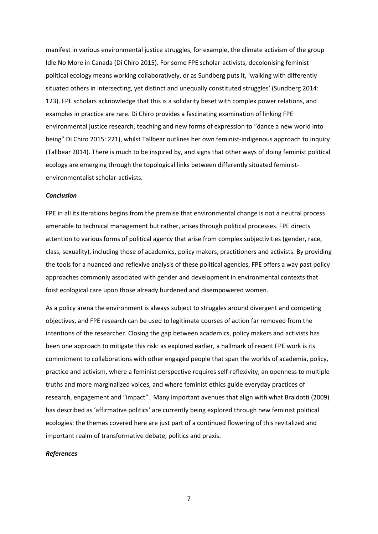manifest in various environmental justice struggles, for example, the climate activism of the group Idle No More in Canada (Di Chiro 2015). For some FPE scholar-activists, decolonising feminist political ecology means working collaboratively, or as Sundberg puts it, 'walking with differently situated others in intersecting, yet distinct and unequally constituted struggles' (Sundberg 2014: 123). FPE scholars acknowledge that this is a solidarity beset with complex power relations, and examples in practice are rare. Di Chiro provides a fascinating examination of linking FPE environmental justice research, teaching and new forms of expression to "dance a new world into being" Di Chiro 2015: 221), whilst Tallbear outlines her own feminist-indigenous approach to inquiry (Tallbear 2014). There is much to be inspired by, and signs that other ways of doing feminist political ecology are emerging through the topological links between differently situated feministenvironmentalist scholar-activists.

### *Conclusion*

FPE in all its iterations begins from the premise that environmental change is not a neutral process amenable to technical management but rather, arises through political processes. FPE directs attention to various forms of political agency that arise from complex subjectivities (gender, race, class, sexuality), including those of academics, policy makers, practitioners and activists. By providing the tools for a nuanced and reflexive analysis of these political agencies, FPE offers a way past policy approaches commonly associated with gender and development in environmental contexts that foist ecological care upon those already burdened and disempowered women.

As a policy arena the environment is always subject to struggles around divergent and competing objectives, and FPE research can be used to legitimate courses of action far removed from the intentions of the researcher. Closing the gap between academics, policy makers and activists has been one approach to mitigate this risk: as explored earlier, a hallmark of recent FPE work is its commitment to collaborations with other engaged people that span the worlds of academia, policy, practice and activism, where a feminist perspective requires self-reflexivity, an openness to multiple truths and more marginalized voices, and where feminist ethics guide everyday practices of research, engagement and "impact". Many important avenues that align with what Braidotti (2009) has described as 'affirmative politics' are currently being explored through new feminist political ecologies: the themes covered here are just part of a continued flowering of this revitalized and important realm of transformative debate, politics and praxis.

### *References*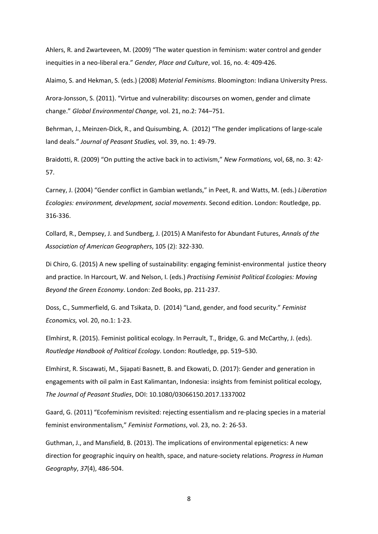Ahlers, R. and Zwarteveen, M. (2009) "The water question in feminism: water control and gender inequities in a neo-liberal era." *Gender, Place and Culture*, vol. 16, no. 4: 409-426.

Alaimo, S. and Hekman, S. (eds.) (2008) *Material Feminisms*. Bloomington: Indiana University Press.

Arora-Jonsson, S. (2011). "Virtue and vulnerability: discourses on women, gender and climate change." *Global Environmental Change,* vol. 21, no.2: 744–751.

Behrman, J., Meinzen-Dick, R., and Quisumbing, A. (2012) "The gender implications of large-scale land deals." *Journal of Peasant Studies,* vol. 39, no. 1: 49-79.

Braidotti, R. (2009) "On putting the active back in to activism," *New Formations,* vol, 68, no. 3: 42- 57.

Carney, J. (2004) "Gender conflict in Gambian wetlands," in Peet, R. and Watts, M. (eds.) *Liberation Ecologies: environment, development, social movements*. Second edition. London: Routledge, pp. 316-336.

Collard, R., Dempsey, J. and Sundberg, J. (2015) A Manifesto for Abundant Futures, *Annals of the Association of American Geographers*, 105 (2): 322-330.

Di Chiro, G. (2015) A new spelling of sustainability: engaging feminist-environmental justice theory and practice. In Harcourt, W. and Nelson, I. (eds.) *Practising Feminist Political Ecologies: Moving Beyond the Green Economy*. London: Zed Books, pp. 211-237.

Doss, C., Summerfield, G. and Tsikata, D. (2014) "Land, gender, and food security." *Feminist Economics,* vol. 20, no.1: 1-23.

Elmhirst, R. (2015). Feminist political ecology. In Perrault, T., Bridge, G. and McCarthy, J. (eds). *Routledge Handbook of Political Ecology*. London: Routledge, pp. 519–530.

Elmhirst, R. Siscawati, M., Sijapati Basnett, B. and Ekowati, D. (2017): Gender and generation in engagements with oil palm in East Kalimantan, Indonesia: insights from feminist political ecology, *The Journal of Peasant Studies*, DOI: 10.1080/03066150.2017.1337002

Gaard, G. (2011) "Ecofeminism revisited: rejecting essentialism and re-placing species in a material feminist environmentalism," *Feminist Formations*, vol. 23, no. 2: 26-53.

Guthman, J., and Mansfield, B. (2013). The implications of environmental epigenetics: A new direction for geographic inquiry on health, space, and nature-society relations. *Progress in Human Geography*, *37*(4), 486-504.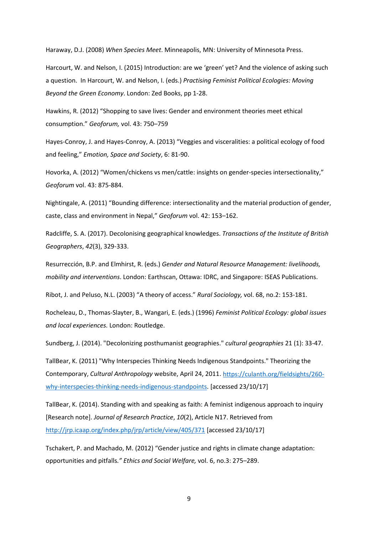Haraway, D.J. (2008) *When Species Meet*. Minneapolis, MN: University of Minnesota Press.

Harcourt, W. and Nelson, I. (2015) Introduction: are we 'green' yet? And the violence of asking such a question. In Harcourt, W. and Nelson, I. (eds.) *Practising Feminist Political Ecologies: Moving Beyond the Green Economy*. London: Zed Books, pp 1-28.

Hawkins, R. (2012) "Shopping to save lives: Gender and environment theories meet ethical consumption." *Geoforum,* vol. 43: 750–759

Hayes-Conroy, J. and Hayes-Conroy, A. (2013) "Veggies and visceralities: a political ecology of food and feeling," *Emotion, Space and Society*, 6: 81-90.

Hovorka, A. (2012) "Women/chickens vs men/cattle: insights on gender-species intersectionality," *Geoforum* vol. 43: 875-884.

Nightingale, A. (2011) "Bounding difference: intersectionality and the material production of gender, caste, class and environment in Nepal," *Geoforum* vol. 42: 153–162.

Radcliffe, S. A. (2017). Decolonising geographical knowledges. *Transactions of the Institute of British Geographers*, *42*(3), 329-333.

Resurrección, B.P. and Elmhirst, R. (eds.) *Gender and Natural Resource Management: livelihoods, mobility and interventions*. London: Earthscan, Ottawa: IDRC, and Singapore: ISEAS Publications.

Ribot, J. and Peluso, N.L. (2003) "A theory of access." *Rural Sociology,* vol. 68, no.2: 153-181.

Rocheleau, D., Thomas-Slayter, B., Wangari, E. (eds.) (1996) *Feminist Political Ecology: global issues and local experiences.* London: Routledge.

Sundberg, J. (2014). "Decolonizing posthumanist geographies." *cultural geographies* 21 (1): 33-47.

TallBear, K. (2011) "Why Interspecies Thinking Needs Indigenous Standpoints." Theorizing the Contemporary, *Cultural Anthropology* website, April 24, 2011. [https://culanth.org/fieldsights/260](https://culanth.org/fieldsights/260-why-interspecies-thinking-needs-indigenous-standpoints) [why-interspecies-thinking-needs-indigenous-standpoints.](https://culanth.org/fieldsights/260-why-interspecies-thinking-needs-indigenous-standpoints) [accessed 23/10/17]

TallBear, K. (2014). Standing with and speaking as faith: A feminist indigenous approach to inquiry [Research note]. *Journal of Research Practice*, *10*(2), Article N17. Retrieved from <http://jrp.icaap.org/index.php/jrp/article/view/405/371> [accessed 23/10/17]

Tschakert, P. and Machado, M. (2012) "Gender justice and rights in climate change adaptation: opportunities and pitfalls*." Ethics and Social Welfare,* vol. 6, no.3: 275–289.